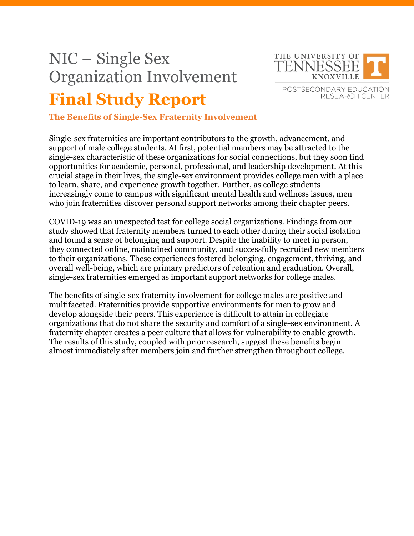## NIC – Single Sex Organization Involvement **Final Study Report**



**The Benefits of Single-Sex Fraternity Involvement**

Single-sex fraternities are important contributors to the growth, advancement, and support of male college students. At first, potential members may be attracted to the single-sex characteristic of these organizations for social connections, but they soon find opportunities for academic, personal, professional, and leadership development. At this crucial stage in their lives, the single-sex environment provides college men with a place to learn, share, and experience growth together. Further, as college students increasingly come to campus with significant mental health and wellness issues, men who join fraternities discover personal support networks among their chapter peers.

COVID-19 was an unexpected test for college social organizations. Findings from our study showed that fraternity members turned to each other during their social isolation and found a sense of belonging and support. Despite the inability to meet in person, they connected online, maintained community, and successfully recruited new members to their organizations. These experiences fostered belonging, engagement, thriving, and overall well-being, which are primary predictors of retention and graduation. Overall, single-sex fraternities emerged as important support networks for college males.

The benefits of single-sex fraternity involvement for college males are positive and multifaceted. Fraternities provide supportive environments for men to grow and develop alongside their peers. This experience is difficult to attain in collegiate organizations that do not share the security and comfort of a single-sex environment. A fraternity chapter creates a peer culture that allows for vulnerability to enable growth. The results of this study, coupled with prior research, suggest these benefits begin almost immediately after members join and further strengthen throughout college.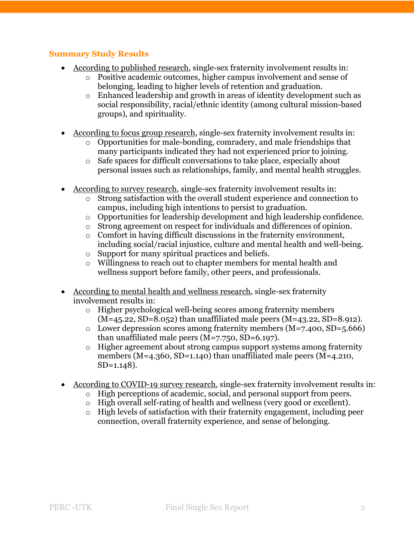## **Summary Study Results**

- According to published research, single-sex fraternity involvement results in:
	- o Positive academic outcomes, higher campus involvement and sense of belonging, leading to higher levels of retention and graduation.
	- o Enhanced leadership and growth in areas of identity development such as social responsibility, racial/ethnic identity (among cultural mission-based groups), and spirituality.
- According to focus group research, single-sex fraternity involvement results in:
	- o Opportunities for male-bonding, comradery, and male friendships that many participants indicated they had not experienced prior to joining.
	- o Safe spaces for difficult conversations to take place, especially about personal issues such as relationships, family, and mental health struggles.
- According to survey research, single-sex fraternity involvement results in:
	- o Strong satisfaction with the overall student experience and connection to campus, including high intentions to persist to graduation.
	- $\circ$  Opportunities for leadership development and high leadership confidence.
	- o Strong agreement on respect for individuals and differences of opinion.
	- o Comfort in having difficult discussions in the fraternity environment, including social/racial injustice, culture and mental health and well-being.
	- o Support for many spiritual practices and beliefs.
	- o Willingness to reach out to chapter members for mental health and wellness support before family, other peers, and professionals.
- According to mental health and wellness research, single-sex fraternity involvement results in:
	- o Higher psychological well-being scores among fraternity members  $(M=45.22, SD=8.052)$  than unaffiliated male peers  $(M=43.22, SD=8.912)$ .
	- o Lower depression scores among fraternity members  $(M=7.400, SD=5.666)$ than unaffiliated male peers (M=7.750, SD=6.197).
	- o Higher agreement about strong campus support systems among fraternity members (M=4.360, SD=1.140) than unaffiliated male peers (M=4.210, SD=1.148).
- According to COVID-19 survey research, single-sex fraternity involvement results in:
	- o High perceptions of academic, social, and personal support from peers.
	- o High overall self-rating of health and wellness (very good or excellent).
	- o High levels of satisfaction with their fraternity engagement, including peer connection, overall fraternity experience, and sense of belonging.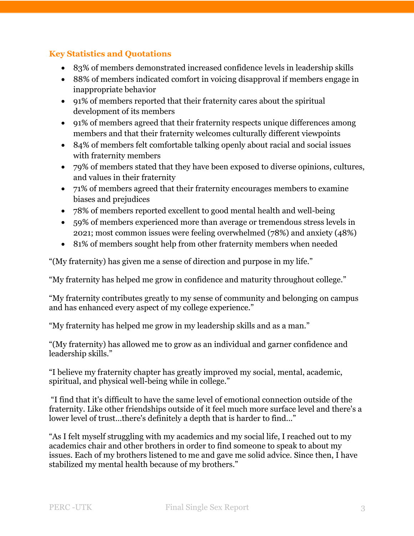## **Key Statistics and Quotations**

- 83% of members demonstrated increased confidence levels in leadership skills
- 88% of members indicated comfort in voicing disapproval if members engage in inappropriate behavior
- 91% of members reported that their fraternity cares about the spiritual development of its members
- 91% of members agreed that their fraternity respects unique differences among members and that their fraternity welcomes culturally different viewpoints
- 84% of members felt comfortable talking openly about racial and social issues with fraternity members
- 79% of members stated that they have been exposed to diverse opinions, cultures, and values in their fraternity
- 71% of members agreed that their fraternity encourages members to examine biases and prejudices
- 78% of members reported excellent to good mental health and well-being
- 59% of members experienced more than average or tremendous stress levels in 2021; most common issues were feeling overwhelmed (78%) and anxiety (48%)
- 81% of members sought help from other fraternity members when needed

"(My fraternity) has given me a sense of direction and purpose in my life."

"My fraternity has helped me grow in confidence and maturity throughout college."

"My fraternity contributes greatly to my sense of community and belonging on campus and has enhanced every aspect of my college experience."

"My fraternity has helped me grow in my leadership skills and as a man."

"(My fraternity) has allowed me to grow as an individual and garner confidence and leadership skills."

"I believe my fraternity chapter has greatly improved my social, mental, academic, spiritual, and physical well-being while in college."

"I find that it's difficult to have the same level of emotional connection outside of the fraternity. Like other friendships outside of it feel much more surface level and there's a lower level of trust...there's definitely a depth that is harder to find..."

"As I felt myself struggling with my academics and my social life, I reached out to my academics chair and other brothers in order to find someone to speak to about my issues. Each of my brothers listened to me and gave me solid advice. Since then, I have stabilized my mental health because of my brothers."